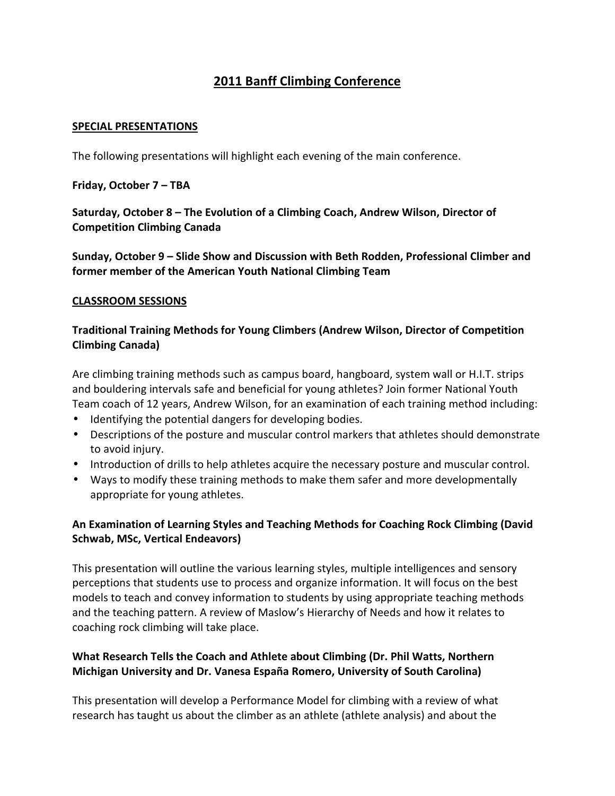# **2011 Banff Climbing Conference**

#### **SPECIAL PRESENTATIONS**

The following presentations will highlight each evening of the main conference.

**Friday, October 7 – TBA** 

**Saturday, October 8 – The Evolution of a Climbing Coach, Andrew Wilson, Director of Competition Climbing Canada** 

**Sunday, October 9 – Slide Show and Discussion with Beth Rodden, Professional Climber and former member of the American Youth National Climbing Team** 

#### **CLASSROOM SESSIONS**

### **Traditional Training Methods for Young Climbers (Andrew Wilson, Director of Competition Climbing Canada)**

Are climbing training methods such as campus board, hangboard, system wall or H.I.T. strips and bouldering intervals safe and beneficial for young athletes? Join former National Youth Team coach of 12 years, Andrew Wilson, for an examination of each training method including:

- Identifying the potential dangers for developing bodies.
- Descriptions of the posture and muscular control markers that athletes should demonstrate to avoid injury.
- Introduction of drills to help athletes acquire the necessary posture and muscular control.
- Ways to modify these training methods to make them safer and more developmentally appropriate for young athletes.

### **An Examination of Learning Styles and Teaching Methods for Coaching Rock Climbing (David Schwab, MSc, Vertical Endeavors)**

This presentation will outline the various learning styles, multiple intelligences and sensory perceptions that students use to process and organize information. It will focus on the best models to teach and convey information to students by using appropriate teaching methods and the teaching pattern. A review of Maslow's Hierarchy of Needs and how it relates to coaching rock climbing will take place.

### **What Research Tells the Coach and Athlete about Climbing (Dr. Phil Watts, Northern Michigan University and Dr. Vanesa España Romero, University of South Carolina)**

This presentation will develop a Performance Model for climbing with a review of what research has taught us about the climber as an athlete (athlete analysis) and about the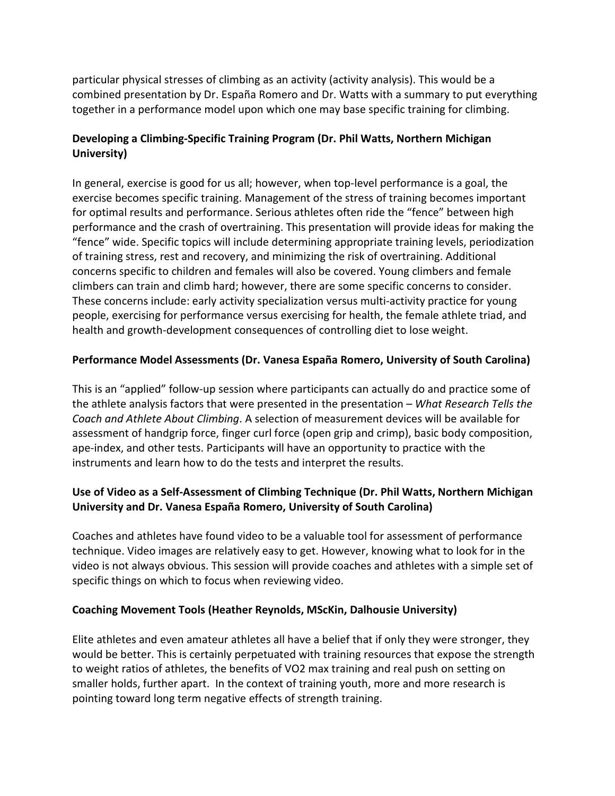particular physical stresses of climbing as an activity (activity analysis). This would be a combined presentation by Dr. España Romero and Dr. Watts with a summary to put everything together in a performance model upon which one may base specific training for climbing.

# **Developing a Climbing-Specific Training Program (Dr. Phil Watts, Northern Michigan University)**

In general, exercise is good for us all; however, when top-level performance is a goal, the exercise becomes specific training. Management of the stress of training becomes important for optimal results and performance. Serious athletes often ride the "fence" between high performance and the crash of overtraining. This presentation will provide ideas for making the "fence" wide. Specific topics will include determining appropriate training levels, periodization of training stress, rest and recovery, and minimizing the risk of overtraining. Additional concerns specific to children and females will also be covered. Young climbers and female climbers can train and climb hard; however, there are some specific concerns to consider. These concerns include: early activity specialization versus multi-activity practice for young people, exercising for performance versus exercising for health, the female athlete triad, and health and growth-development consequences of controlling diet to lose weight.

### **Performance Model Assessments (Dr. Vanesa España Romero, University of South Carolina)**

This is an "applied" follow-up session where participants can actually do and practice some of the athlete analysis factors that were presented in the presentation – *What Research Tells the Coach and Athlete About Climbing*. A selection of measurement devices will be available for assessment of handgrip force, finger curl force (open grip and crimp), basic body composition, ape-index, and other tests. Participants will have an opportunity to practice with the instruments and learn how to do the tests and interpret the results.

# **Use of Video as a Self-Assessment of Climbing Technique (Dr. Phil Watts, Northern Michigan University and Dr. Vanesa España Romero, University of South Carolina)**

Coaches and athletes have found video to be a valuable tool for assessment of performance technique. Video images are relatively easy to get. However, knowing what to look for in the video is not always obvious. This session will provide coaches and athletes with a simple set of specific things on which to focus when reviewing video.

### **Coaching Movement Tools (Heather Reynolds, MScKin, Dalhousie University)**

Elite athletes and even amateur athletes all have a belief that if only they were stronger, they would be better. This is certainly perpetuated with training resources that expose the strength to weight ratios of athletes, the benefits of VO2 max training and real push on setting on smaller holds, further apart. In the context of training youth, more and more research is pointing toward long term negative effects of strength training.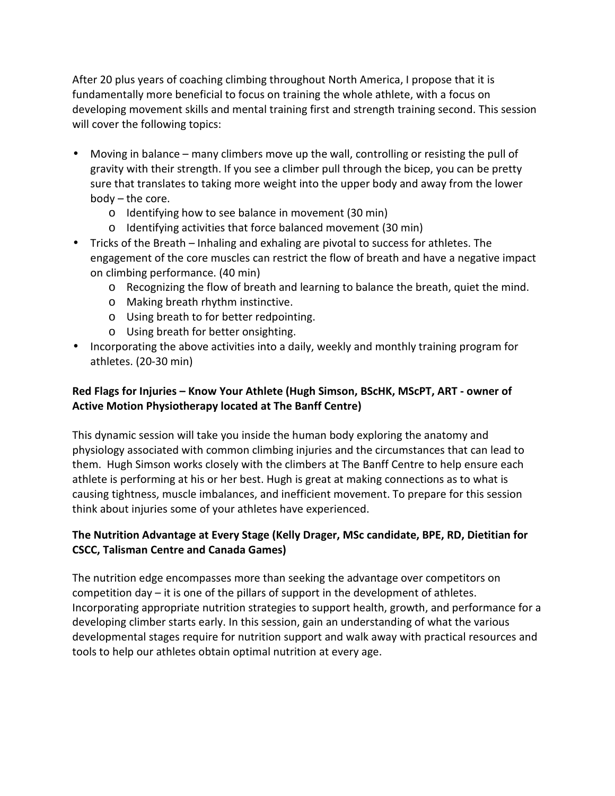After 20 plus years of coaching climbing throughout North America, I propose that it is fundamentally more beneficial to focus on training the whole athlete, with a focus on developing movement skills and mental training first and strength training second. This session will cover the following topics:

- Moving in balance many climbers move up the wall, controlling or resisting the pull of gravity with their strength. If you see a climber pull through the bicep, you can be pretty sure that translates to taking more weight into the upper body and away from the lower body – the core.
	- o Identifying how to see balance in movement (30 min)
	- o Identifying activities that force balanced movement (30 min)
- Tricks of the Breath Inhaling and exhaling are pivotal to success for athletes. The engagement of the core muscles can restrict the flow of breath and have a negative impact on climbing performance. (40 min)
	- o Recognizing the flow of breath and learning to balance the breath, quiet the mind.
	- o Making breath rhythm instinctive.
	- o Using breath to for better redpointing.
	- o Using breath for better onsighting.
- Incorporating the above activities into a daily, weekly and monthly training program for athletes. (20-30 min)

# **Red Flags for Injuries – Know Your Athlete (Hugh Simson, BScHK, MScPT, ART - owner of Active Motion Physiotherapy located at The Banff Centre)**

This dynamic session will take you inside the human body exploring the anatomy and physiology associated with common climbing injuries and the circumstances that can lead to them. Hugh Simson works closely with the climbers at The Banff Centre to help ensure each athlete is performing at his or her best. Hugh is great at making connections as to what is causing tightness, muscle imbalances, and inefficient movement. To prepare for this session think about injuries some of your athletes have experienced.

### **The Nutrition Advantage at Every Stage (Kelly Drager, MSc candidate, BPE, RD, Dietitian for CSCC, Talisman Centre and Canada Games)**

The nutrition edge encompasses more than seeking the advantage over competitors on competition day – it is one of the pillars of support in the development of athletes. Incorporating appropriate nutrition strategies to support health, growth, and performance for a developing climber starts early. In this session, gain an understanding of what the various developmental stages require for nutrition support and walk away with practical resources and tools to help our athletes obtain optimal nutrition at every age.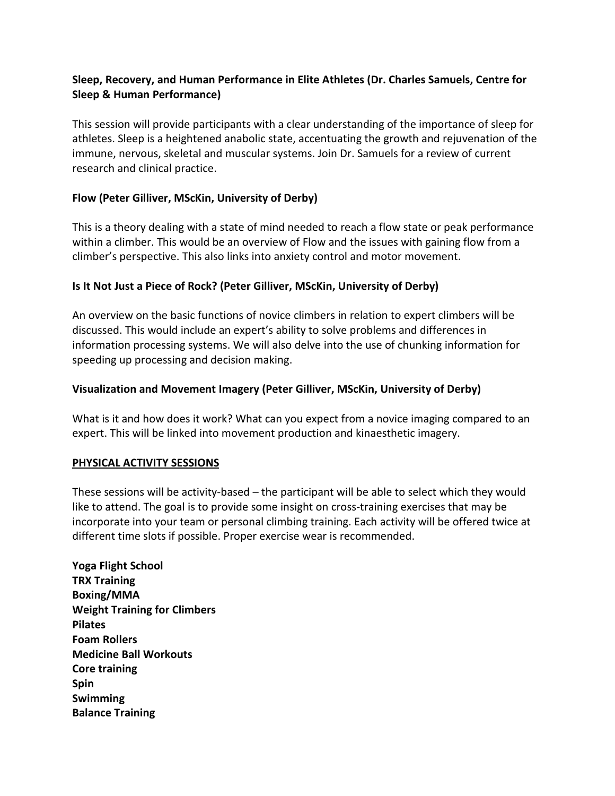### **Sleep, Recovery, and Human Performance in Elite Athletes (Dr. Charles Samuels, Centre for Sleep & Human Performance)**

This session will provide participants with a clear understanding of the importance of sleep for athletes. Sleep is a heightened anabolic state, accentuating the growth and rejuvenation of the immune, nervous, skeletal and muscular systems. Join Dr. Samuels for a review of current research and clinical practice.

### **Flow (Peter Gilliver, MScKin, University of Derby)**

This is a theory dealing with a state of mind needed to reach a flow state or peak performance within a climber. This would be an overview of Flow and the issues with gaining flow from a climber's perspective. This also links into anxiety control and motor movement.

#### **Is It Not Just a Piece of Rock? (Peter Gilliver, MScKin, University of Derby)**

An overview on the basic functions of novice climbers in relation to expert climbers will be discussed. This would include an expert's ability to solve problems and differences in information processing systems. We will also delve into the use of chunking information for speeding up processing and decision making.

#### **Visualization and Movement Imagery (Peter Gilliver, MScKin, University of Derby)**

What is it and how does it work? What can you expect from a novice imaging compared to an expert. This will be linked into movement production and kinaesthetic imagery.

#### **PHYSICAL ACTIVITY SESSIONS**

These sessions will be activity-based – the participant will be able to select which they would like to attend. The goal is to provide some insight on cross-training exercises that may be incorporate into your team or personal climbing training. Each activity will be offered twice at different time slots if possible. Proper exercise wear is recommended.

**Yoga Flight School TRX Training Boxing/MMA Weight Training for Climbers Pilates Foam Rollers Medicine Ball Workouts Core training Spin Swimming Balance Training**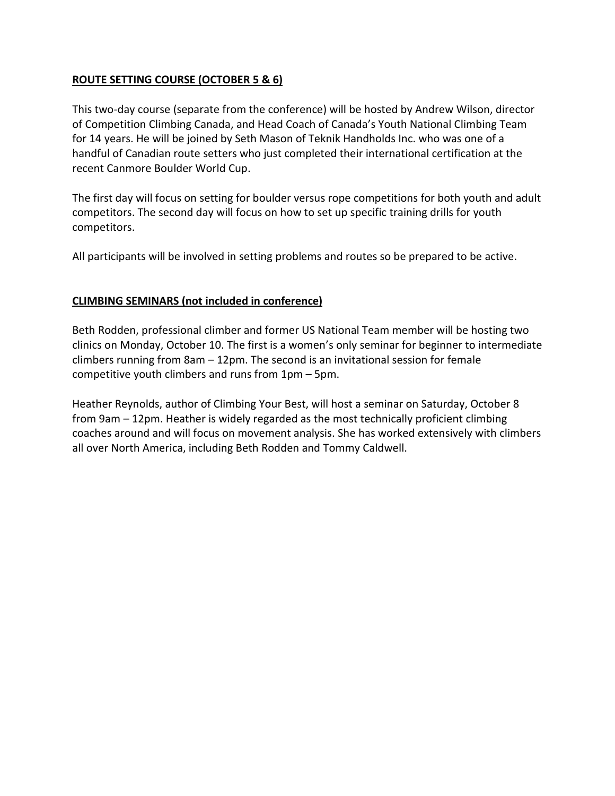### **ROUTE SETTING COURSE (OCTOBER 5 & 6)**

This two-day course (separate from the conference) will be hosted by Andrew Wilson, director of Competition Climbing Canada, and Head Coach of Canada's Youth National Climbing Team for 14 years. He will be joined by Seth Mason of Teknik Handholds Inc. who was one of a handful of Canadian route setters who just completed their international certification at the recent Canmore Boulder World Cup.

The first day will focus on setting for boulder versus rope competitions for both youth and adult competitors. The second day will focus on how to set up specific training drills for youth competitors.

All participants will be involved in setting problems and routes so be prepared to be active.

#### **CLIMBING SEMINARS (not included in conference)**

Beth Rodden, professional climber and former US National Team member will be hosting two clinics on Monday, October 10. The first is a women's only seminar for beginner to intermediate climbers running from 8am – 12pm. The second is an invitational session for female competitive youth climbers and runs from 1pm – 5pm.

Heather Reynolds, author of Climbing Your Best, will host a seminar on Saturday, October 8 from 9am – 12pm. Heather is widely regarded as the most technically proficient climbing coaches around and will focus on movement analysis. She has worked extensively with climbers all over North America, including Beth Rodden and Tommy Caldwell.